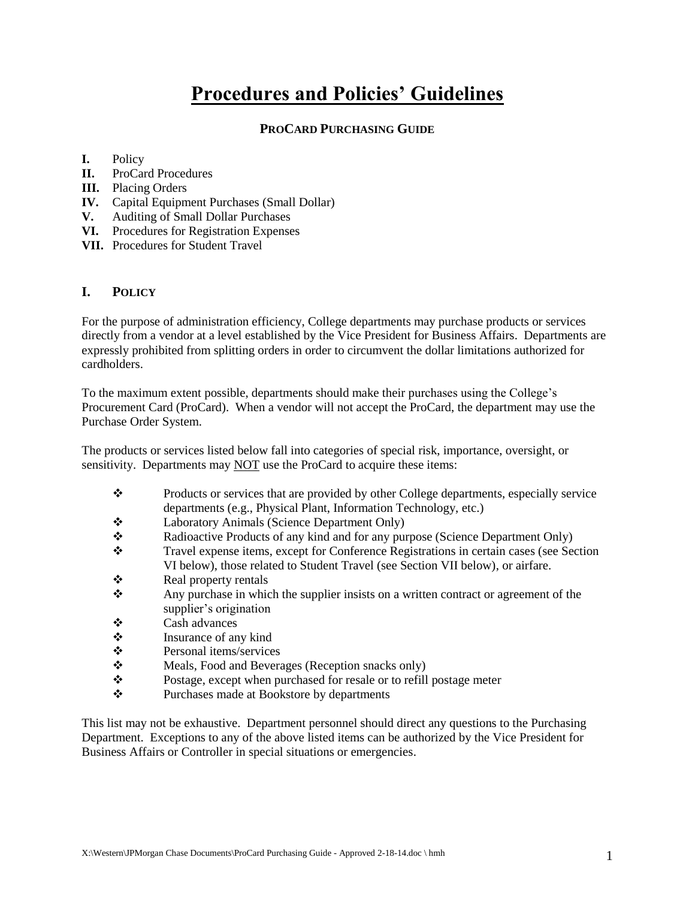# **Procedures and Policies' Guidelines**

# **PROCARD PURCHASING GUIDE**

# **I.** Policy

- **II.** ProCard Procedures
- **III.** Placing Orders
- **IV.** Capital Equipment Purchases (Small Dollar)
- **V.** Auditing of Small Dollar Purchases
- **VI.** Procedures for Registration Expenses
- **VII.** Procedures for Student Travel

# **I. POLICY**

For the purpose of administration efficiency, College departments may purchase products or services directly from a vendor at a level established by the Vice President for Business Affairs. Departments are expressly prohibited from splitting orders in order to circumvent the dollar limitations authorized for cardholders.

To the maximum extent possible, departments should make their purchases using the College's Procurement Card (ProCard). When a vendor will not accept the ProCard, the department may use the Purchase Order System.

The products or services listed below fall into categories of special risk, importance, oversight, or sensitivity. Departments may NOT use the ProCard to acquire these items:

- Products or services that are provided by other College departments, especially service departments (e.g., Physical Plant, Information Technology, etc.)
- Laboratory Animals (Science Department Only)
- Radioactive Products of any kind and for any purpose (Science Department Only)<br>Travel expense items, except for Conference Registrations in certain cases (see Sec
- Travel expense items, except for Conference Registrations in certain cases (see Section VI below), those related to Student Travel (see Section VII below), or airfare.
- $\triangle$  Real property rentals
- Any purchase in which the supplier insists on a written contract or agreement of the supplier's origination
- Cash advances
- Insurance of any kind
- **❖** Personal items/services
- Meals, Food and Beverages (Reception snacks only)
- Postage, except when purchased for resale or to refill postage meter
- Purchases made at Bookstore by departments

This list may not be exhaustive. Department personnel should direct any questions to the Purchasing Department. Exceptions to any of the above listed items can be authorized by the Vice President for Business Affairs or Controller in special situations or emergencies.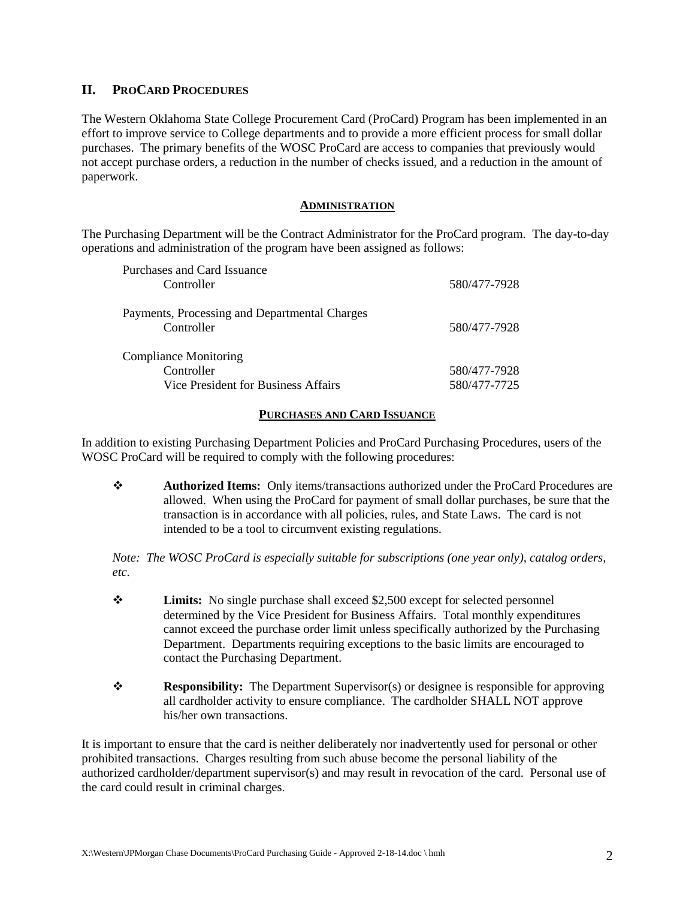# **II. PROCARD PROCEDURES**

The Western Oklahoma State College Procurement Card (ProCard) Program has been implemented in an effort to improve service to College departments and to provide a more efficient process for small dollar purchases. The primary benefits of the WOSC ProCard are access to companies that previously would not accept purchase orders, a reduction in the number of checks issued, and a reduction in the amount of paperwork.

#### **ADMINISTRATION**

The Purchasing Department will be the Contract Administrator for the ProCard program. The day-to-day operations and administration of the program have been assigned as follows:

| Purchases and Card Issuance                                 |              |  |
|-------------------------------------------------------------|--------------|--|
| Controller                                                  | 580/477-7928 |  |
| Payments, Processing and Departmental Charges<br>Controller | 580/477-7928 |  |
| <b>Compliance Monitoring</b>                                |              |  |
| Controller                                                  | 580/477-7928 |  |
| Vice President for Business Affairs                         | 580/477-7725 |  |

#### **PURCHASES AND CARD ISSUANCE**

In addition to existing Purchasing Department Policies and ProCard Purchasing Procedures, users of the WOSC ProCard will be required to comply with the following procedures:

 **Authorized Items:** Only items/transactions authorized under the ProCard Procedures are allowed. When using the ProCard for payment of small dollar purchases, be sure that the transaction is in accordance with all policies, rules, and State Laws. The card is not intended to be a tool to circumvent existing regulations.

*Note: The WOSC ProCard is especially suitable for subscriptions (one year only), catalog orders, etc.*

- **Limits:** No single purchase shall exceed \$2,500 except for selected personnel determined by the Vice President for Business Affairs. Total monthly expenditures cannot exceed the purchase order limit unless specifically authorized by the Purchasing Department. Departments requiring exceptions to the basic limits are encouraged to contact the Purchasing Department.
- **Responsibility:** The Department Supervisor(s) or designee is responsible for approving all cardholder activity to ensure compliance. The cardholder SHALL NOT approve his/her own transactions.

It is important to ensure that the card is neither deliberately nor inadvertently used for personal or other prohibited transactions. Charges resulting from such abuse become the personal liability of the authorized cardholder/department supervisor(s) and may result in revocation of the card. Personal use of the card could result in criminal charges.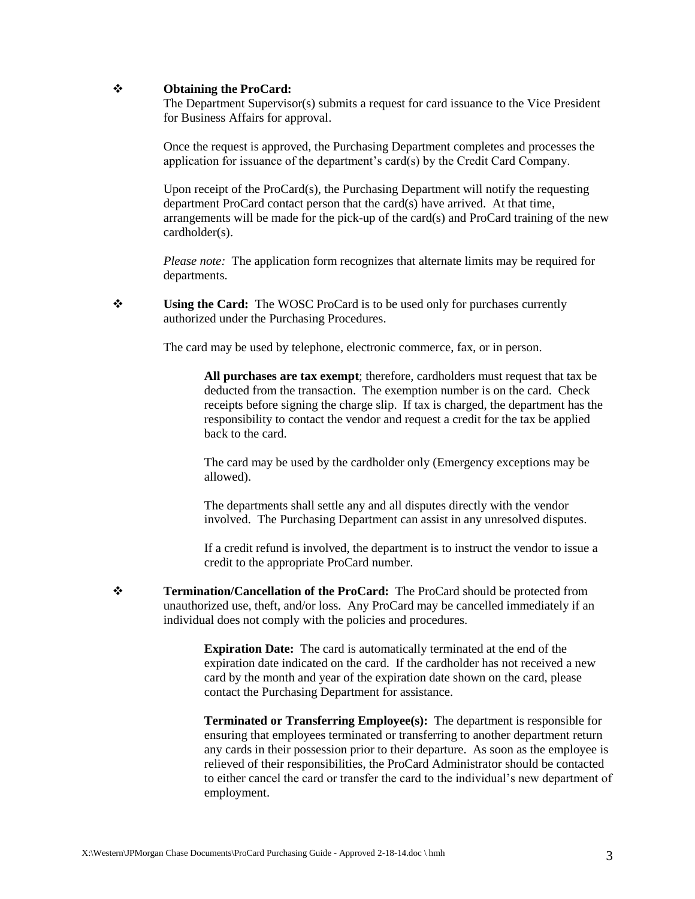# **Obtaining the ProCard:**

The Department Supervisor(s) submits a request for card issuance to the Vice President for Business Affairs for approval.

Once the request is approved, the Purchasing Department completes and processes the application for issuance of the department's card(s) by the Credit Card Company.

Upon receipt of the ProCard(s), the Purchasing Department will notify the requesting department ProCard contact person that the card(s) have arrived. At that time, arrangements will be made for the pick-up of the card(s) and ProCard training of the new cardholder(s).

*Please note:* The application form recognizes that alternate limits may be required for departments.

**↓** Using the Card: The WOSC ProCard is to be used only for purchases currently authorized under the Purchasing Procedures.

The card may be used by telephone, electronic commerce, fax, or in person.

**All purchases are tax exempt**; therefore, cardholders must request that tax be deducted from the transaction. The exemption number is on the card. Check receipts before signing the charge slip. If tax is charged, the department has the responsibility to contact the vendor and request a credit for the tax be applied back to the card.

The card may be used by the cardholder only (Emergency exceptions may be allowed).

The departments shall settle any and all disputes directly with the vendor involved. The Purchasing Department can assist in any unresolved disputes.

If a credit refund is involved, the department is to instruct the vendor to issue a credit to the appropriate ProCard number.

**↑ Termination/Cancellation of the ProCard:** The ProCard should be protected from unauthorized use, theft, and/or loss. Any ProCard may be cancelled immediately if an individual does not comply with the policies and procedures.

> **Expiration Date:** The card is automatically terminated at the end of the expiration date indicated on the card. If the cardholder has not received a new card by the month and year of the expiration date shown on the card, please contact the Purchasing Department for assistance.

**Terminated or Transferring Employee(s):** The department is responsible for ensuring that employees terminated or transferring to another department return any cards in their possession prior to their departure. As soon as the employee is relieved of their responsibilities, the ProCard Administrator should be contacted to either cancel the card or transfer the card to the individual's new department of employment.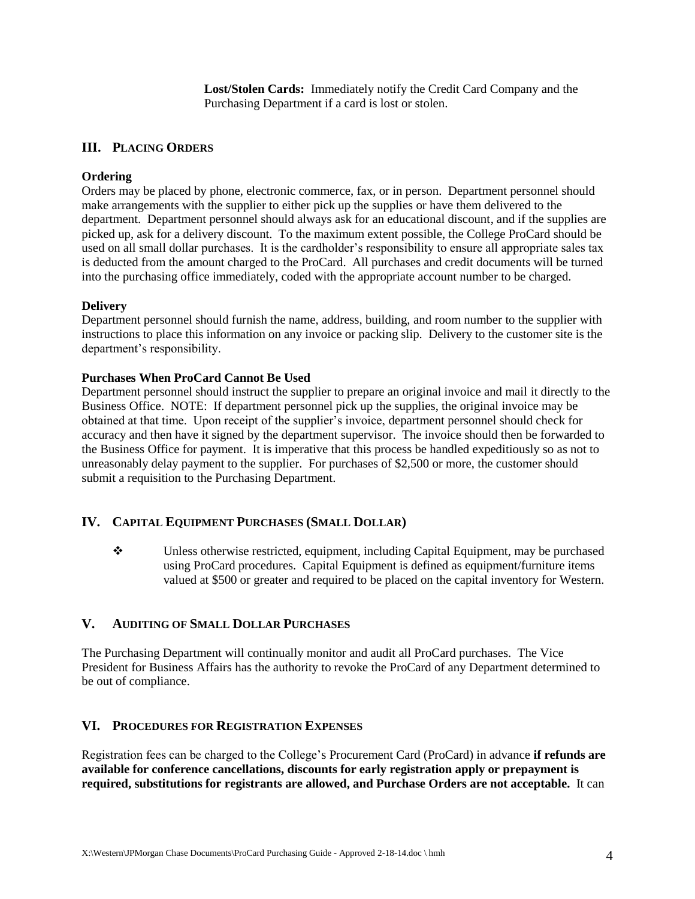**Lost/Stolen Cards:** Immediately notify the Credit Card Company and the Purchasing Department if a card is lost or stolen.

# **III. PLACING ORDERS**

# **Ordering**

Orders may be placed by phone, electronic commerce, fax, or in person. Department personnel should make arrangements with the supplier to either pick up the supplies or have them delivered to the department. Department personnel should always ask for an educational discount, and if the supplies are picked up, ask for a delivery discount. To the maximum extent possible, the College ProCard should be used on all small dollar purchases. It is the cardholder's responsibility to ensure all appropriate sales tax is deducted from the amount charged to the ProCard. All purchases and credit documents will be turned into the purchasing office immediately, coded with the appropriate account number to be charged.

#### **Delivery**

Department personnel should furnish the name, address, building, and room number to the supplier with instructions to place this information on any invoice or packing slip. Delivery to the customer site is the department's responsibility.

#### **Purchases When ProCard Cannot Be Used**

Department personnel should instruct the supplier to prepare an original invoice and mail it directly to the Business Office. NOTE: If department personnel pick up the supplies, the original invoice may be obtained at that time. Upon receipt of the supplier's invoice, department personnel should check for accuracy and then have it signed by the department supervisor. The invoice should then be forwarded to the Business Office for payment. It is imperative that this process be handled expeditiously so as not to unreasonably delay payment to the supplier. For purchases of \$2,500 or more, the customer should submit a requisition to the Purchasing Department.

# **IV. CAPITAL EQUIPMENT PURCHASES (SMALL DOLLAR)**

 $\bullet$  Unless otherwise restricted, equipment, including Capital Equipment, may be purchased using ProCard procedures. Capital Equipment is defined as equipment/furniture items valued at \$500 or greater and required to be placed on the capital inventory for Western.

# **V. AUDITING OF SMALL DOLLAR PURCHASES**

The Purchasing Department will continually monitor and audit all ProCard purchases. The Vice President for Business Affairs has the authority to revoke the ProCard of any Department determined to be out of compliance.

# **VI. PROCEDURES FOR REGISTRATION EXPENSES**

Registration fees can be charged to the College's Procurement Card (ProCard) in advance **if refunds are available for conference cancellations, discounts for early registration apply or prepayment is required, substitutions for registrants are allowed, and Purchase Orders are not acceptable.** It can